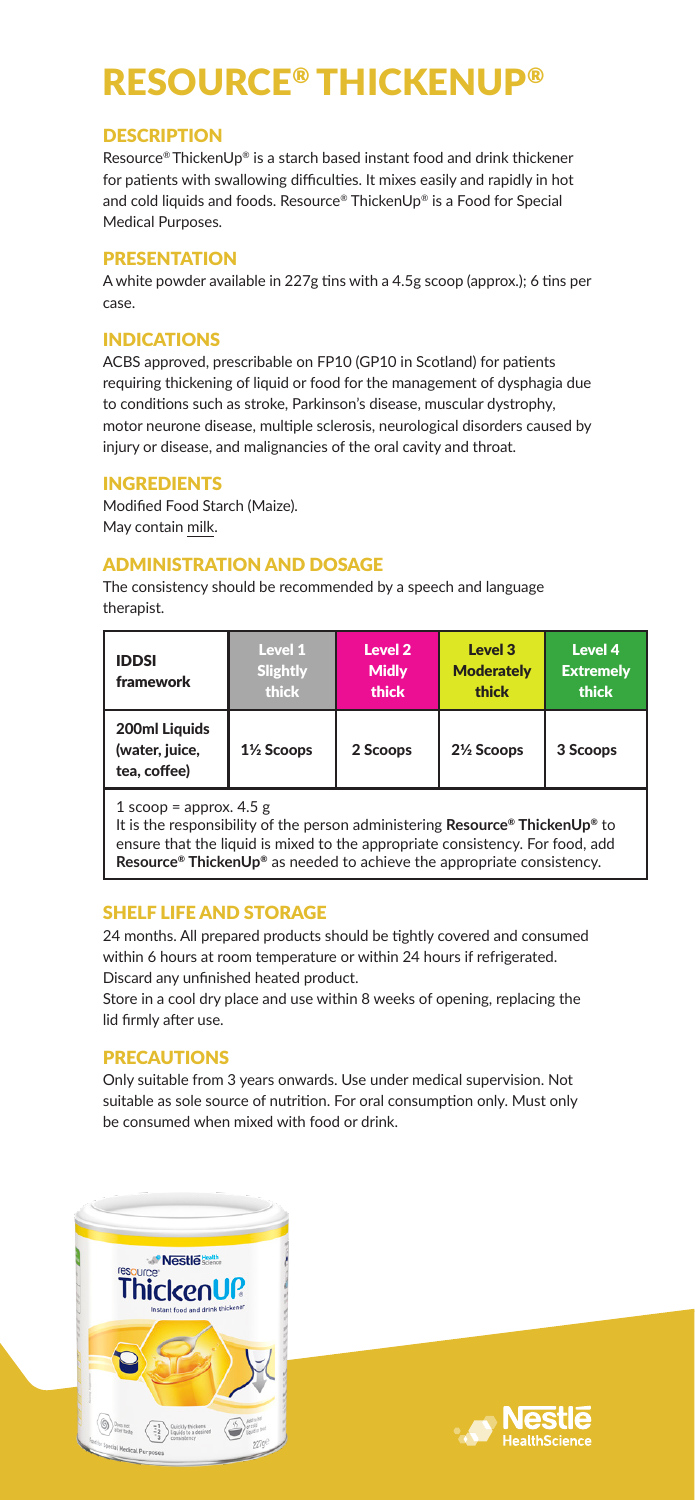## RESOURCE® THICKENUP®

#### **DESCRIPTION**

Resource® ThickenUp® is a starch based instant food and drink thickener for patients with swallowing difficulties. It mixes easily and rapidly in hot and cold liquids and foods. Resource® ThickenUp® is a Food for Special Medical Purposes.

### PRESENTATION

A white powder available in 227g tins with a 4.5g scoop (approx.); 6 tins per case.

### INDICATIONS

ACBS approved, prescribable on FP10 (GP10 in Scotland) for patients requiring thickening of liquid or food for the management of dysphagia due to conditions such as stroke, Parkinson's disease, muscular dystrophy, motor neurone disease, multiple sclerosis, neurological disorders caused by injury or disease, and malignancies of the oral cavity and throat.

#### INGREDIENTS

Modified Food Starch (Maize). May contain milk.

## ADMINISTRATION AND DOSAGE

The consistency should be recommended by a speech and language therapist.

| <b>IDDSI</b><br>framework                                               | Level 1<br>Slightly<br>thick | Level 2<br><b>Midly</b><br>thick | Level 3<br><b>Moderately</b><br>thick | Level 4<br><b>Extremelv</b><br>thick |
|-------------------------------------------------------------------------|------------------------------|----------------------------------|---------------------------------------|--------------------------------------|
| 200ml Liauids<br>(water, juice,<br>tea. coffee)                         | 1½ Scoops                    | 2 Scoops                         | 21/ <sub>2</sub> Scoops               | 3 Scoops                             |
| $\overline{a}$ and $\overline{a}$ and $\overline{a}$ and $\overline{a}$ |                              |                                  |                                       |                                      |

 $1$  scoop = approx.  $4.5$  g

It is the responsibility of the person administering **Resource® ThickenUp®** to ensure that the liquid is mixed to the appropriate consistency. For food, add **Resource® ThickenUp®** as needed to achieve the appropriate consistency.

#### SHELF LIFE AND STORAGE

24 months. All prepared products should be tightly covered and consumed within 6 hours at room temperature or within 24 hours if refrigerated. Discard any unfinished heated product.

Store in a cool dry place and use within 8 weeks of opening, replacing the lid firmly after use.

## PRECAUTIONS

Only suitable from 3 years onwards. Use under medical supervision. Not suitable as sole source of nutrition. For oral consumption only. Must only be consumed when mixed with food or drink.